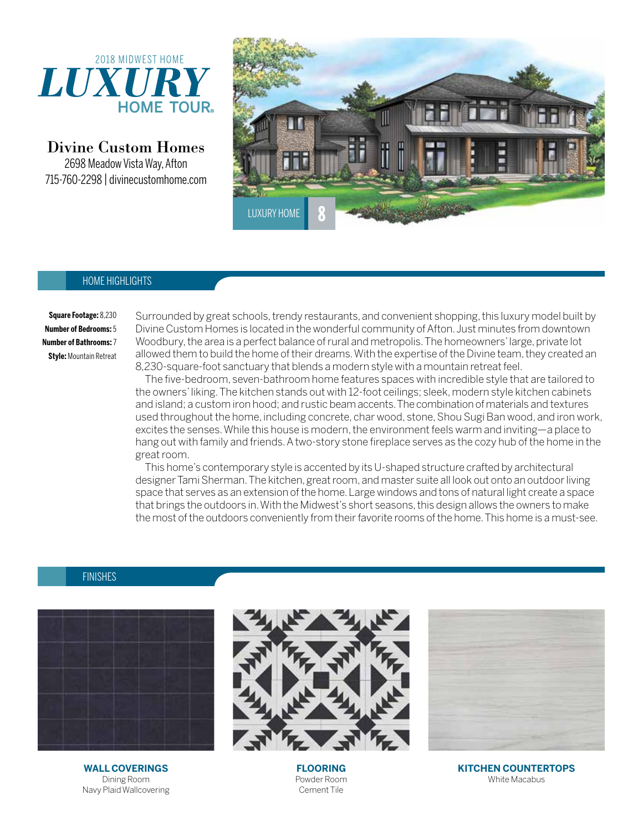

Divine Custom Homes

2698 Meadow Vista Way, Afton 715-760-2298 | divinecustomhome.com



## HOME HIGHLIGHTS

**Square Footage:** 8,230 **Number of Bedrooms:** 5 **Number of Bathrooms:** 7 **Style:** Mountain Retreat

Surrounded by great schools, trendy restaurants, and convenient shopping, this luxury model built by Divine Custom Homes is located in the wonderful community of Afton. Just minutes from downtown Woodbury, the area is a perfect balance of rural and metropolis. The homeowners' large, private lot allowed them to build the home of their dreams. With the expertise of the Divine team, they created an 8,230-square-foot sanctuary that blends a modern style with a mountain retreat feel.

The five-bedroom, seven-bathroom home features spaces with incredible style that are tailored to the owners' liking. The kitchen stands out with 12-foot ceilings; sleek, modern style kitchen cabinets and island; a custom iron hood; and rustic beam accents. The combination of materials and textures used throughout the home, including concrete, char wood, stone, Shou Sugi Ban wood, and iron work, excites the senses. While this house is modern, the environment feels warm and inviting—a place to hang out with family and friends. A two-story stone fireplace serves as the cozy hub of the home in the great room.

This home's contemporary style is accented by its U-shaped structure crafted by architectural designer Tami Sherman. The kitchen, great room, and master suite all look out onto an outdoor living space that serves as an extension of the home. Large windows and tons of natural light create a space that brings the outdoors in. With the Midwest's short seasons, this design allows the owners to make the most of the outdoors conveniently from their favorite rooms of the home. This home is a must-see.

## FINISHES



**WALL COVERINGS** Dining Room Navy Plaid Wallcovering



**FLOORING** Powder Room Cement Tile

**KITCHEN COUNTERTOPS** White Macabus